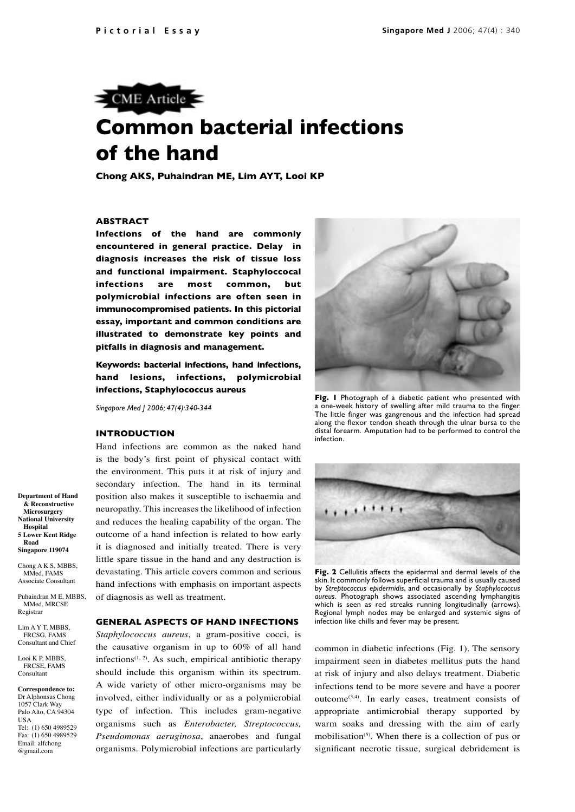

# **Common bacterial infections of the hand**

**Chong AKS, Puhaindran ME, Lim AYT, Looi KP**

### **ABSTRACT**

**Infections of the hand are commonly encountered in general practice. Delay in diagnosis increases the risk of tissue loss and functional impairment. Staphyloccocal infections are most common, but polymicrobial infections are often seen in immunocompromised patients. In this pictorial essay, important and common conditions are illustrated to demonstrate key points and pitfalls in diagnosis and management.**

**Keywords: bacterial infections, hand infections, hand lesions, infections, polymicrobial infections, Staphylococcus aureus**

*Singapore Med J 2006; 47(4):340-344*

#### **INTRODUCTION**

Hand infections are common as the naked hand is the body's first point of physical contact with the environment. This puts it at risk of injury and secondary infection. The hand in its terminal position also makes it susceptible to ischaemia and neuropathy. This increases the likelihood of infection and reduces the healing capability of the organ. The outcome of a hand infection is related to how early it is diagnosed and initially treated. There is very little spare tissue in the hand and any destruction is devastating. This article covers common and serious hand infections with emphasis on important aspects of diagnosis as well as treatment.

#### **GENERAL ASPECTS OF HAND INFECTIONS**

*Staphylococcus aureus*, a gram-positive cocci, is the causative organism in up to 60% of all hand infections<sup> $(1, 2)$ </sup>. As such, empirical antibiotic therapy should include this organism within its spectrum. A wide variety of other micro-organisms may be involved, either individually or as a polymicrobial type of infection. This includes gram-negative organisms such as *Enterobacter, Streptococcus, Pseudomonas aeruginosa*, anaerobes and fungal organisms. Polymicrobial infections are particularly



**Fig. 1** Photograph of a diabetic patient who presented with a one-week history of swelling after mild trauma to the finger. The little finger was gangrenous and the infection had spread along the flexor tendon sheath through the ulnar bursa to the distal forearm. Amputation had to be performed to control the infection.



**Fig. 2** Cellulitis affects the epidermal and dermal levels of the skin. It commonly follows superficial trauma and is usually caused by *Streptococcus epidermidis*, and occasionally by *Staphylococcus aureus.* Photograph shows associated ascending lymphangitis which is seen as red streaks running longitudinally (arrows). Regional lymph nodes may be enlarged and systemic signs of infection like chills and fever may be present.

common in diabetic infections (Fig. 1). The sensory impairment seen in diabetes mellitus puts the hand at risk of injury and also delays treatment. Diabetic infections tend to be more severe and have a poorer outcome(3,4). In early cases, treatment consists of appropriate antimicrobial therapy supported by warm soaks and dressing with the aim of early mobilisation<sup> $(5)$ </sup>. When there is a collection of pus or significant necrotic tissue, surgical debridement is

**Department of Hand & Reconstructive Microsurgery National University Hospital 5 Lower Kent Ridge Road Singapore 119074**

Chong A K S, MBBS. MMed, FAMS Associate Consultant

Puhaindran M E, MBBS, MMed, MRCSE Registrar

Lim A Y T, MBBS, FRCSG, FAMS Consultant and Chief

Looi K P, MBBS, FRCSE, FAMS Consultant

**Correspondence to:** Dr Alphonsus Chong 1057 Clark Way Palo Alto, CA 94304 USA Tel: (1) 650 4989529 Fax: (1) 650 4989529 Email: alfchong @gmail.com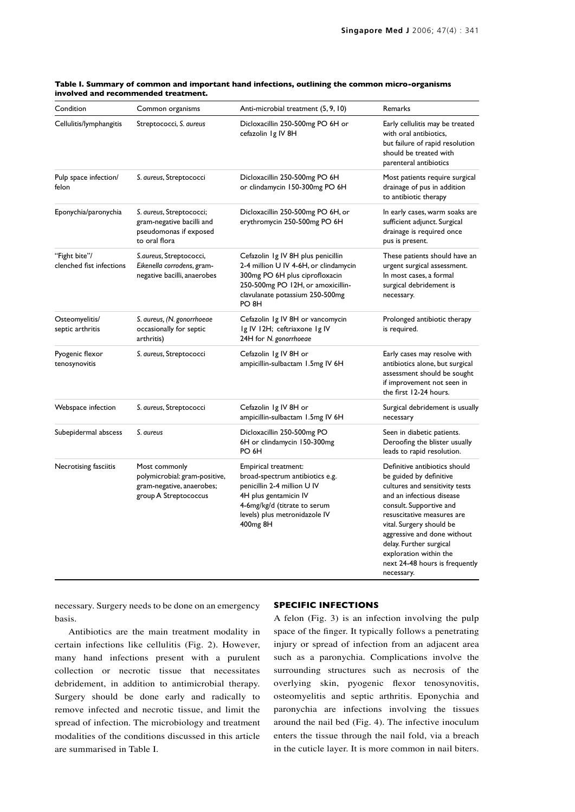| Condition                                 | Common organisms                                                                                     | Anti-microbial treatment (5, 9, 10)                                                                                                                                                                       | Remarks                                                                                                                                                                                                                                                                                                                                          |
|-------------------------------------------|------------------------------------------------------------------------------------------------------|-----------------------------------------------------------------------------------------------------------------------------------------------------------------------------------------------------------|--------------------------------------------------------------------------------------------------------------------------------------------------------------------------------------------------------------------------------------------------------------------------------------------------------------------------------------------------|
| Cellulitis/lymphangitis                   | Streptococci, S. aureus                                                                              | Dicloxacillin 250-500mg PO 6H or<br>cefazolin 1g IV 8H                                                                                                                                                    | Early cellulitis may be treated<br>with oral antibiotics,<br>but failure of rapid resolution<br>should be treated with<br>parenteral antibiotics                                                                                                                                                                                                 |
| Pulp space infection/<br>felon            | S. aureus, Streptococci                                                                              | Dicloxacillin 250-500mg PO 6H<br>or clindamycin 150-300mg PO 6H                                                                                                                                           | Most patients require surgical<br>drainage of pus in addition<br>to antibiotic therapy                                                                                                                                                                                                                                                           |
| Eponychia/paronychia                      | S. aureus, Streptococci;<br>gram-negative bacilli and<br>pseudomonas if exposed<br>to oral flora     | Dicloxacillin 250-500mg PO 6H, or<br>erythromycin 250-500mg PO 6H                                                                                                                                         | In early cases, warm soaks are<br>sufficient adjunct. Surgical<br>drainage is required once<br>pus is present.                                                                                                                                                                                                                                   |
| "Fight bite"/<br>clenched fist infections | S.aureus, Streptococci,<br>Eikenella corrodens, gram-<br>negative bacilli, anaerobes                 | Cefazolin 1g IV 8H plus penicillin<br>2-4 million U IV 4-6H, or clindamycin<br>300mg PO 6H plus ciprofloxacin<br>250-500mg PO 12H, or amoxicillin-<br>clavulanate potassium 250-500mg<br>PO <sub>8H</sub> | These patients should have an<br>urgent surgical assessment.<br>In most cases, a formal<br>surgical debridement is<br>necessary.                                                                                                                                                                                                                 |
| Osteomyelitis/<br>septic arthritis        | S. aureus, (N. gonorrhoeae<br>occasionally for septic<br>arthritis)                                  | Cefazolin 1g IV 8H or vancomycin<br>Ig IV 12H; ceftriaxone Ig IV<br>24H for N. gonorrhoeae                                                                                                                | Prolonged antibiotic therapy<br>is required.                                                                                                                                                                                                                                                                                                     |
| Pyogenic flexor<br>tenosynovitis          | S. aureus, Streptococci                                                                              | Cefazolin 1g IV 8H or<br>ampicillin-sulbactam 1.5mg IV 6H                                                                                                                                                 | Early cases may resolve with<br>antibiotics alone, but surgical<br>assessment should be sought<br>if improvement not seen in<br>the first 12-24 hours.                                                                                                                                                                                           |
| Webspace infection                        | S. aureus, Streptococci                                                                              | Cefazolin 1g IV 8H or<br>ampicillin-sulbactam 1.5mg IV 6H                                                                                                                                                 | Surgical debridement is usually<br>necessary                                                                                                                                                                                                                                                                                                     |
| Subepidermal abscess                      | S. aureus                                                                                            | Dicloxacillin 250-500mg PO<br>6H or clindamycin 150-300mg<br>PO 6H                                                                                                                                        | Seen in diabetic patients.<br>Deroofing the blister usually<br>leads to rapid resolution.                                                                                                                                                                                                                                                        |
| Necrotising fasciitis                     | Most commonly<br>polymicrobial: gram-positive,<br>gram-negative, anaerobes;<br>group A Streptococcus | Empirical treatment:<br>broad-spectrum antibiotics e.g.<br>penicillin 2-4 million U IV<br>4H plus gentamicin IV<br>4-6mg/kg/d (titrate to serum<br>levels) plus metronidazole IV<br>400 <sub>mg</sub> 8H  | Definitive antibiotics should<br>be guided by definitive<br>cultures and sensitivity tests<br>and an infectious disease<br>consult. Supportive and<br>resuscitative measures are<br>vital. Surgery should be<br>aggressive and done without<br>delay. Further surgical<br>exploration within the<br>next 24-48 hours is frequently<br>necessary. |

#### **Table I. Summary of common and important hand infections, outlining the common micro-organisms involved and recommended treatment.**

necessary. Surgery needs to be done on an emergency basis.

Antibiotics are the main treatment modality in certain infections like cellulitis (Fig. 2). However, many hand infections present with a purulent collection or necrotic tissue that necessitates debridement, in addition to antimicrobial therapy. Surgery should be done early and radically to remove infected and necrotic tissue, and limit the spread of infection. The microbiology and treatment modalities of the conditions discussed in this article are summarised in Table I.

#### **SPECIFIC INFECTIONS**

A felon (Fig. 3) is an infection involving the pulp space of the finger. It typically follows a penetrating injury or spread of infection from an adjacent area such as a paronychia. Complications involve the surrounding structures such as necrosis of the overlying skin, pyogenic flexor tenosynovitis, osteomyelitis and septic arthritis. Eponychia and paronychia are infections involving the tissues around the nail bed (Fig. 4). The infective inoculum enters the tissue through the nail fold, via a breach in the cuticle layer. It is more common in nail biters.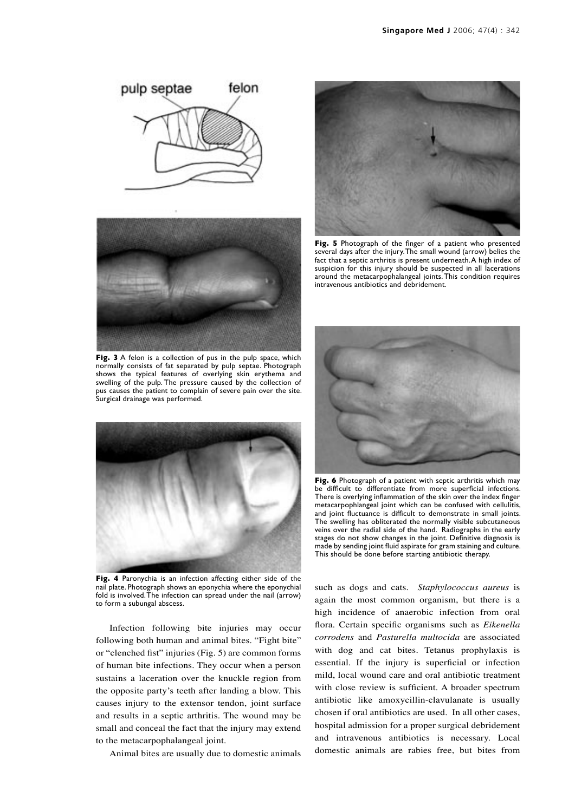



**Fig. 3** A felon is a collection of pus in the pulp space, which normally consists of fat separated by pulp septae. Photograph shows the typical features of overlying skin erythema and swelling of the pulp. The pressure caused by the collection of pus causes the patient to complain of severe pain over the site. Surgical drainage was performed.



**Fig. 4** Paronychia is an infection affecting either side of the nail plate. Photograph shows an eponychia where the eponychial fold is involved. The infection can spread under the nail (arrow) to form a subungal abscess.

Infection following bite injuries may occur following both human and animal bites. "Fight bite" or "clenched fist" injuries (Fig. 5) are common forms of human bite infections. They occur when a person sustains a laceration over the knuckle region from the opposite party's teeth after landing a blow. This causes injury to the extensor tendon, joint surface and results in a septic arthritis. The wound may be small and conceal the fact that the injury may extend to the metacarpophalangeal joint.

Animal bites are usually due to domestic animals



**Fig. 5** Photograph of the finger of a patient who presented several days after the injury. The small wound (arrow) belies the fact that a septic arthritis is present underneath. A high index of suspicion for this injury should be suspected in all lacerations around the metacarpophalangeal joints. This condition requires intravenous antibiotics and debridement.



**Fig. 6** Photograph of a patient with septic arthritis which may be difficult to differentiate from more superficial infections. There is overlying inflammation of the skin over the index finger metacarpophlangeal joint which can be confused with cellulitis, and joint fluctuance is difficult to demonstrate in small joints. The swelling has obliterated the normally visible subcutaneous veins over the radial side of the hand. Radiographs in the early stages do not show changes in the joint. Definitive diagnosis is made by sending joint fluid aspirate for gram staining and culture. This should be done before starting antibiotic therapy.

such as dogs and cats. *Staphylococcus aureus* is again the most common organism, but there is a high incidence of anaerobic infection from oral flora. Certain specific organisms such as *Eikenella corrodens* and *Pasturella multocida* are associated with dog and cat bites. Tetanus prophylaxis is essential. If the injury is superficial or infection mild, local wound care and oral antibiotic treatment with close review is sufficient. A broader spectrum antibiotic like amoxycillin-clavulanate is usually chosen if oral antibiotics are used. In all other cases, hospital admission for a proper surgical debridement and intravenous antibiotics is necessary. Local domestic animals are rabies free, but bites from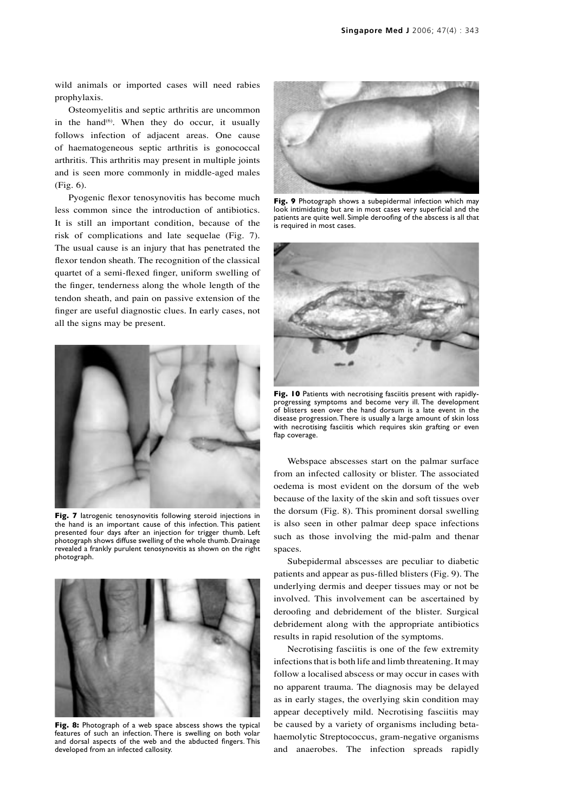wild animals or imported cases will need rabies prophylaxis.

Osteomyelitis and septic arthritis are uncommon in the hand<sup> $(6)$ </sup>. When they do occur, it usually follows infection of adjacent areas. One cause of haematogeneous septic arthritis is gonococcal arthritis. This arthritis may present in multiple joints and is seen more commonly in middle-aged males (Fig. 6).

Pyogenic flexor tenosynovitis has become much less common since the introduction of antibiotics. It is still an important condition, because of the risk of complications and late sequelae (Fig. 7). The usual cause is an injury that has penetrated the flexor tendon sheath. The recognition of the classical quartet of a semi-flexed finger, uniform swelling of the finger, tenderness along the whole length of the tendon sheath, and pain on passive extension of the finger are useful diagnostic clues. In early cases, not all the signs may be present.



**Fig. 7** Iatrogenic tenosynovitis following steroid injections in the hand is an important cause of this infection. This patient presented four days after an injection for trigger thumb. Left photograph shows diffuse swelling of the whole thumb. Drainage revealed a frankly purulent tenosynovitis as shown on the right photograph.



**Fig. 8:** Photograph of a web space abscess shows the typical features of such an infection. There is swelling on both volar and dorsal aspects of the web and the abducted fingers. This developed from an infected callosity.



**Fig. 9** Photograph shows a subepidermal infection which may look intimidating but are in most cases very superficial and the patients are quite well. Simple deroofing of the abscess is all that is required in most cases.



**Fig. 10** Patients with necrotising fasciitis present with rapidlyprogressing symptoms and become very ill. The development of blisters seen over the hand dorsum is a late event in the disease progression. There is usually a large amount of skin loss with necrotising fasciitis which requires skin grafting or even flap coverage.

Webspace abscesses start on the palmar surface from an infected callosity or blister. The associated oedema is most evident on the dorsum of the web because of the laxity of the skin and soft tissues over the dorsum (Fig. 8). This prominent dorsal swelling is also seen in other palmar deep space infections such as those involving the mid-palm and thenar spaces.

Subepidermal abscesses are peculiar to diabetic patients and appear as pus-filled blisters (Fig. 9). The underlying dermis and deeper tissues may or not be involved. This involvement can be ascertained by deroofing and debridement of the blister. Surgical debridement along with the appropriate antibiotics results in rapid resolution of the symptoms.

Necrotising fasciitis is one of the few extremity infections that is both life and limb threatening. It may follow a localised abscess or may occur in cases with no apparent trauma. The diagnosis may be delayed as in early stages, the overlying skin condition may appear deceptively mild. Necrotising fasciitis may be caused by a variety of organisms including betahaemolytic Streptococcus, gram-negative organisms and anaerobes. The infection spreads rapidly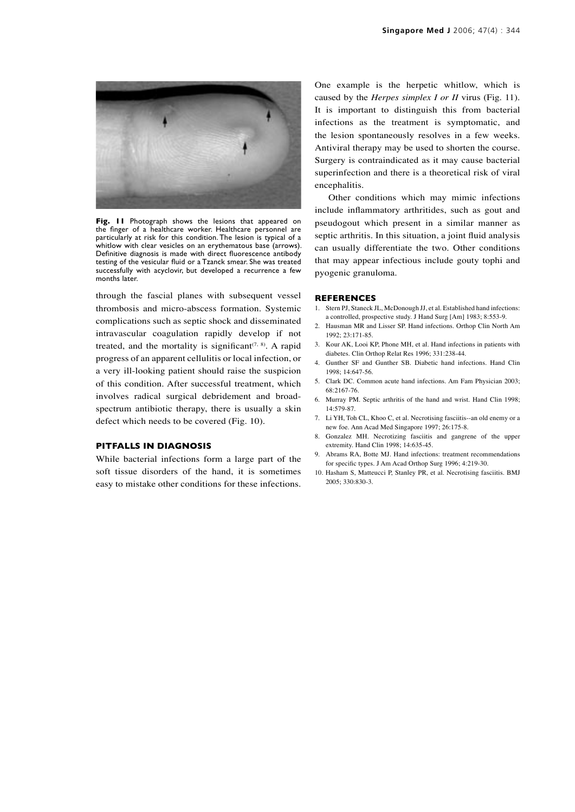

**Fig. 11** Photograph shows the lesions that appeared on the finger of a healthcare worker. Healthcare personnel are particularly at risk for this condition. The lesion is typical of a whitlow with clear vesicles on an erythematous base (arrows). Definitive diagnosis is made with direct fluorescence antibody testing of the vesicular fluid or a Tzanck smear. She was treated successfully with acyclovir, but developed a recurrence a few months later.

through the fascial planes with subsequent vessel thrombosis and micro-abscess formation. Systemic complications such as septic shock and disseminated intravascular coagulation rapidly develop if not treated, and the mortality is significant<sup> $(7, 8)$ </sup>. A rapid progress of an apparent cellulitis or local infection, or a very ill-looking patient should raise the suspicion of this condition. After successful treatment, which involves radical surgical debridement and broadspectrum antibiotic therapy, there is usually a skin defect which needs to be covered (Fig. 10).

#### **PITFALLS IN DIAGNOSIS**

While bacterial infections form a large part of the soft tissue disorders of the hand, it is sometimes easy to mistake other conditions for these infections. One example is the herpetic whitlow, which is caused by the *Herpes simplex I or II* virus (Fig. 11). It is important to distinguish this from bacterial infections as the treatment is symptomatic, and the lesion spontaneously resolves in a few weeks. Antiviral therapy may be used to shorten the course. Surgery is contraindicated as it may cause bacterial superinfection and there is a theoretical risk of viral encephalitis.

Other conditions which may mimic infections include inflammatory arthritides, such as gout and pseudogout which present in a similar manner as septic arthritis. In this situation, a joint fluid analysis can usually differentiate the two. Other conditions that may appear infectious include gouty tophi and pyogenic granuloma.

#### **REFERENCES**

- 1. Stern PJ, Staneck JL, McDonough JJ, et al. Established hand infections: a controlled, prospective study. J Hand Surg [Am] 1983; 8:553-9.
- 2. Hausman MR and Lisser SP. Hand infections. Orthop Clin North Am 1992; 23:171-85.
- 3. Kour AK, Looi KP, Phone MH, et al. Hand infections in patients with diabetes. Clin Orthop Relat Res 1996; 331:238-44.
- 4. Gunther SF and Gunther SB. Diabetic hand infections. Hand Clin 1998; 14:647-56.
- 5. Clark DC. Common acute hand infections. Am Fam Physician 2003; 68:2167-76.
- 6. Murray PM. Septic arthritis of the hand and wrist. Hand Clin 1998; 14:579-87.
- 7. Li YH, Toh CL, Khoo C, et al. Necrotising fasciitis--an old enemy or a new foe. Ann Acad Med Singapore 1997; 26:175-8.
- 8. Gonzalez MH. Necrotizing fasciitis and gangrene of the upper extremity. Hand Clin 1998; 14:635-45.
- Abrams RA, Botte MJ. Hand infections: treatment recommendations for specific types. J Am Acad Orthop Surg 1996; 4:219-30.
- 10. Hasham S, Matteucci P, Stanley PR, et al. Necrotising fasciitis. BMJ 2005; 330:830-3.